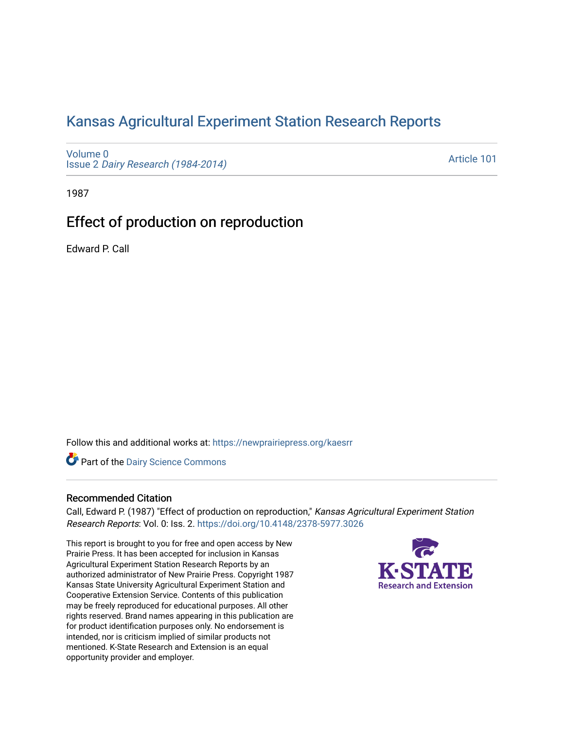# [Kansas Agricultural Experiment Station Research Reports](https://newprairiepress.org/kaesrr)

[Volume 0](https://newprairiepress.org/kaesrr/vol0) Issue 2 [Dairy Research \(1984-2014\)](https://newprairiepress.org/kaesrr/vol0/iss2) 

[Article 101](https://newprairiepress.org/kaesrr/vol0/iss2/101) 

1987

# Effect of production on reproduction

Edward P. Call

Follow this and additional works at: [https://newprairiepress.org/kaesrr](https://newprairiepress.org/kaesrr?utm_source=newprairiepress.org%2Fkaesrr%2Fvol0%2Fiss2%2F101&utm_medium=PDF&utm_campaign=PDFCoverPages) 

**Part of the Dairy Science Commons** 

## Recommended Citation

Call, Edward P. (1987) "Effect of production on reproduction," Kansas Agricultural Experiment Station Research Reports: Vol. 0: Iss. 2.<https://doi.org/10.4148/2378-5977.3026>

This report is brought to you for free and open access by New Prairie Press. It has been accepted for inclusion in Kansas Agricultural Experiment Station Research Reports by an authorized administrator of New Prairie Press. Copyright 1987 Kansas State University Agricultural Experiment Station and Cooperative Extension Service. Contents of this publication may be freely reproduced for educational purposes. All other rights reserved. Brand names appearing in this publication are for product identification purposes only. No endorsement is intended, nor is criticism implied of similar products not mentioned. K-State Research and Extension is an equal opportunity provider and employer.

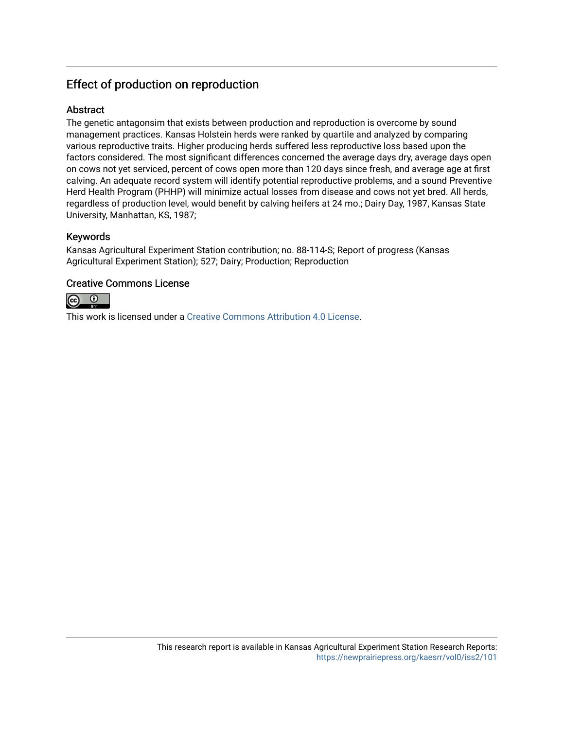## Effect of production on reproduction

## Abstract

The genetic antagonsim that exists between production and reproduction is overcome by sound management practices. Kansas Holstein herds were ranked by quartile and analyzed by comparing various reproductive traits. Higher producing herds suffered less reproductive loss based upon the factors considered. The most significant differences concerned the average days dry, average days open on cows not yet serviced, percent of cows open more than 120 days since fresh, and average age at first calving. An adequate record system will identify potential reproductive problems, and a sound Preventive Herd Health Program (PHHP) will minimize actual losses from disease and cows not yet bred. All herds, regardless of production level, would benefit by calving heifers at 24 mo.; Dairy Day, 1987, Kansas State University, Manhattan, KS, 1987;

## Keywords

Kansas Agricultural Experiment Station contribution; no. 88-114-S; Report of progress (Kansas Agricultural Experiment Station); 527; Dairy; Production; Reproduction

## Creative Commons License



This work is licensed under a [Creative Commons Attribution 4.0 License](https://creativecommons.org/licenses/by/4.0/).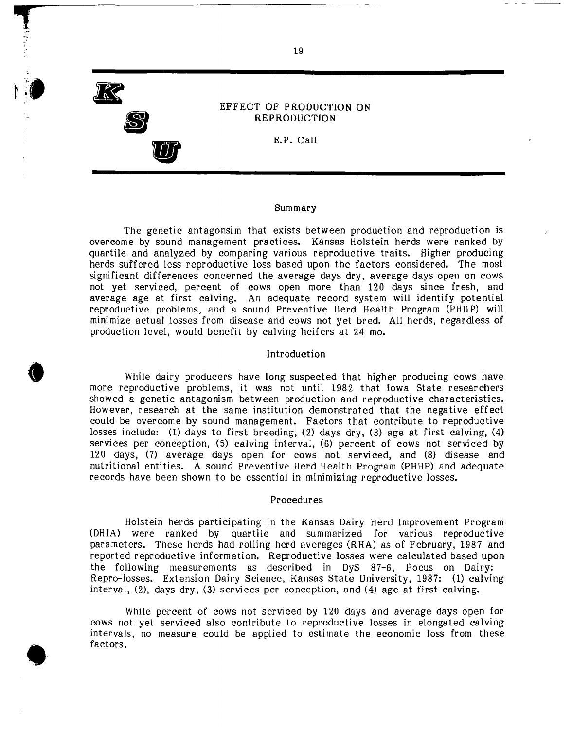

**•** 

**•** 

**S** 

**U** 

------------------------------ **'r**

### EFFECT OF PRODUCTION ON REPRODUCTION

E.P. Call

#### Summary

The genetic antagonsim that exists between production and reproduction is overcome by sound management practices. Kansas Holstein herds were ranked by quartile and analyzed by comparing various reproductive traits. Higher producing herds suffered less reproductive loss based upon the factors considered. The most significant differences concerned the average days dry, average days open on cows not yet serviced, percent of cows open more than 120 days since fresh, and average age at first calving. An adequate record system will identify potential reproductive problems, and a sound Preventive Herd Health Program (PHHP) will minimize actual losses from disease and cows not yet bred. All herds, regardless of production level, would benefit by calving heifers at 24 mo.

#### Introduction

While dairy producers have long suspected that higher producing cows have more reproductive problems, it was not until 1982 that Iowa State researchers showed a genetic antagonism between production and reproductive characteristics. However, research at the same institution demonstrated that the negative effect could be overcome by sound management. Factors that contribute to reproductive losses include: (1) days to first breeding, (2) days dry, (3) age at first calving, (4) services per conception, (5) calving interval, (6) percent of cows not serviced by 120 days, (7) average days open for cows not serviced, and (8) disease and nutritional entities. A sound Preventive Herd Health Program (PHHP) and adequate records have been shown to be essential in minimizing reproductive losses.

#### Procedures

Holstein herds participating in the Kansas Dairy Herd Improvement Program (DHIA) were ranked by quartile and summarized for various reproductive parameters. These herds had rolling herd averages (RHA) as of February, 1987 and reported reproductive information. Reproductive losses were calculated based upon the following measurements as described in OyS 87-6, Focus on Dairy: Repro-losses. Extension Dairy Science, Kansas State University, 1987: (1) calving interval, (2), days dry, (3) services per conception, and (4) age at first calving.

While percent of cows not serviced by 120 days and average days open for cows not yet serviced also contribute to reproductive losses in elongated calving intervals, no measure could be applied to estimate the economic loss from these factors.

19